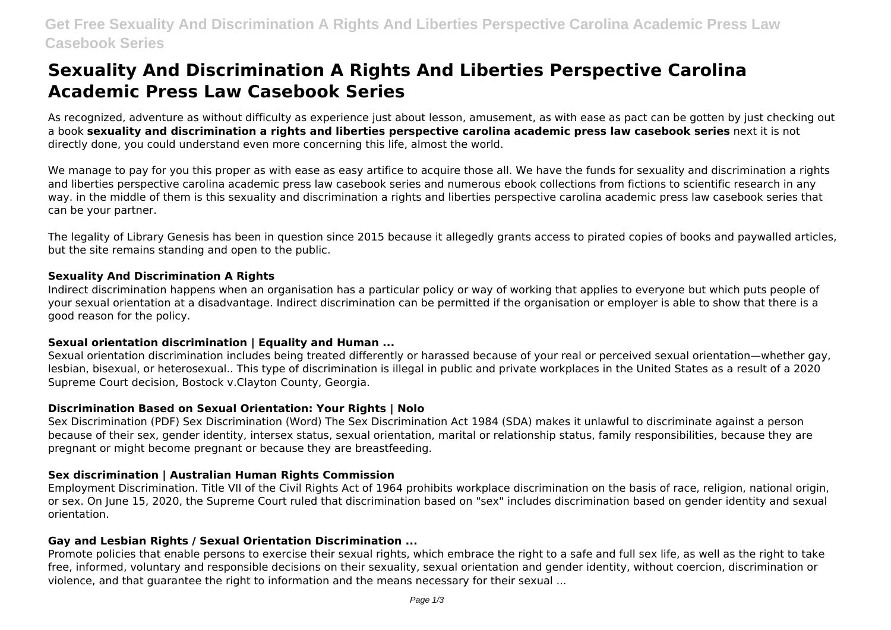# **Sexuality And Discrimination A Rights And Liberties Perspective Carolina Academic Press Law Casebook Series**

As recognized, adventure as without difficulty as experience just about lesson, amusement, as with ease as pact can be gotten by just checking out a book **sexuality and discrimination a rights and liberties perspective carolina academic press law casebook series** next it is not directly done, you could understand even more concerning this life, almost the world.

We manage to pay for you this proper as with ease as easy artifice to acquire those all. We have the funds for sexuality and discrimination a rights and liberties perspective carolina academic press law casebook series and numerous ebook collections from fictions to scientific research in any way. in the middle of them is this sexuality and discrimination a rights and liberties perspective carolina academic press law casebook series that can be your partner.

The legality of Library Genesis has been in question since 2015 because it allegedly grants access to pirated copies of books and paywalled articles, but the site remains standing and open to the public.

### **Sexuality And Discrimination A Rights**

Indirect discrimination happens when an organisation has a particular policy or way of working that applies to everyone but which puts people of your sexual orientation at a disadvantage. Indirect discrimination can be permitted if the organisation or employer is able to show that there is a good reason for the policy.

# **Sexual orientation discrimination | Equality and Human ...**

Sexual orientation discrimination includes being treated differently or harassed because of your real or perceived sexual orientation—whether gay, lesbian, bisexual, or heterosexual.. This type of discrimination is illegal in public and private workplaces in the United States as a result of a 2020 Supreme Court decision, Bostock v.Clayton County, Georgia.

# **Discrimination Based on Sexual Orientation: Your Rights | Nolo**

Sex Discrimination (PDF) Sex Discrimination (Word) The Sex Discrimination Act 1984 (SDA) makes it unlawful to discriminate against a person because of their sex, gender identity, intersex status, sexual orientation, marital or relationship status, family responsibilities, because they are pregnant or might become pregnant or because they are breastfeeding.

# **Sex discrimination | Australian Human Rights Commission**

Employment Discrimination. Title VII of the Civil Rights Act of 1964 prohibits workplace discrimination on the basis of race, religion, national origin, or sex. On June 15, 2020, the Supreme Court ruled that discrimination based on "sex" includes discrimination based on gender identity and sexual orientation.

# **Gay and Lesbian Rights / Sexual Orientation Discrimination ...**

Promote policies that enable persons to exercise their sexual rights, which embrace the right to a safe and full sex life, as well as the right to take free, informed, voluntary and responsible decisions on their sexuality, sexual orientation and gender identity, without coercion, discrimination or violence, and that guarantee the right to information and the means necessary for their sexual ...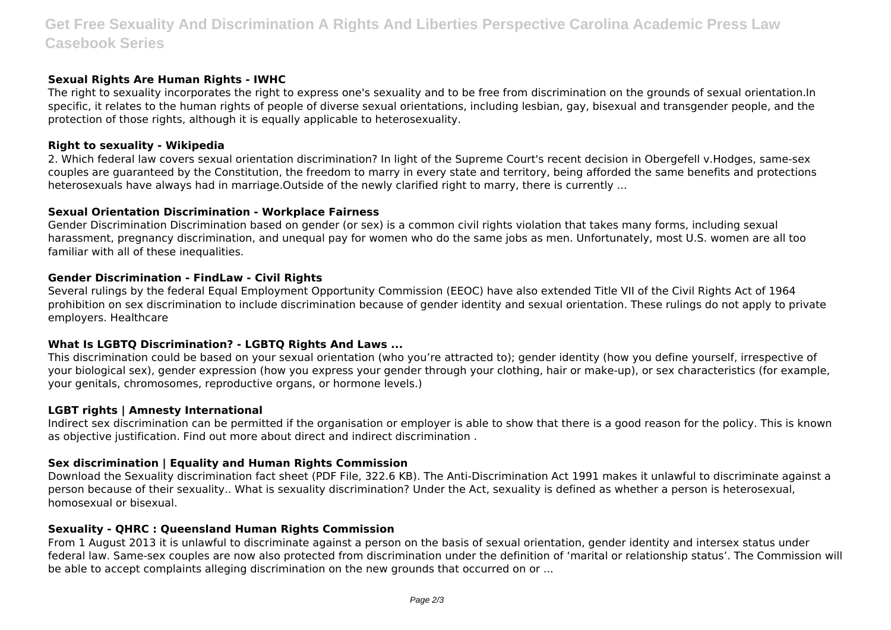# **Get Free Sexuality And Discrimination A Rights And Liberties Perspective Carolina Academic Press Law Casebook Series**

### **Sexual Rights Are Human Rights - IWHC**

The right to sexuality incorporates the right to express one's sexuality and to be free from discrimination on the grounds of sexual orientation.In specific, it relates to the human rights of people of diverse sexual orientations, including lesbian, gay, bisexual and transgender people, and the protection of those rights, although it is equally applicable to heterosexuality.

### **Right to sexuality - Wikipedia**

2. Which federal law covers sexual orientation discrimination? In light of the Supreme Court's recent decision in Obergefell v.Hodges, same-sex couples are guaranteed by the Constitution, the freedom to marry in every state and territory, being afforded the same benefits and protections heterosexuals have always had in marriage.Outside of the newly clarified right to marry, there is currently ...

#### **Sexual Orientation Discrimination - Workplace Fairness**

Gender Discrimination Discrimination based on gender (or sex) is a common civil rights violation that takes many forms, including sexual harassment, pregnancy discrimination, and unequal pay for women who do the same jobs as men. Unfortunately, most U.S. women are all too familiar with all of these inequalities.

#### **Gender Discrimination - FindLaw - Civil Rights**

Several rulings by the federal Equal Employment Opportunity Commission (EEOC) have also extended Title VII of the Civil Rights Act of 1964 prohibition on sex discrimination to include discrimination because of gender identity and sexual orientation. These rulings do not apply to private employers. Healthcare

# **What Is LGBTQ Discrimination? - LGBTQ Rights And Laws ...**

This discrimination could be based on your sexual orientation (who you're attracted to); gender identity (how you define yourself, irrespective of your biological sex), gender expression (how you express your gender through your clothing, hair or make-up), or sex characteristics (for example, your genitals, chromosomes, reproductive organs, or hormone levels.)

#### **LGBT rights | Amnesty International**

Indirect sex discrimination can be permitted if the organisation or employer is able to show that there is a good reason for the policy. This is known as objective justification. Find out more about direct and indirect discrimination .

#### **Sex discrimination | Equality and Human Rights Commission**

Download the Sexuality discrimination fact sheet (PDF File, 322.6 KB). The Anti-Discrimination Act 1991 makes it unlawful to discriminate against a person because of their sexuality.. What is sexuality discrimination? Under the Act, sexuality is defined as whether a person is heterosexual, homosexual or bisexual.

#### **Sexuality - QHRC : Queensland Human Rights Commission**

From 1 August 2013 it is unlawful to discriminate against a person on the basis of sexual orientation, gender identity and intersex status under federal law. Same-sex couples are now also protected from discrimination under the definition of 'marital or relationship status'. The Commission will be able to accept complaints alleging discrimination on the new grounds that occurred on or ...